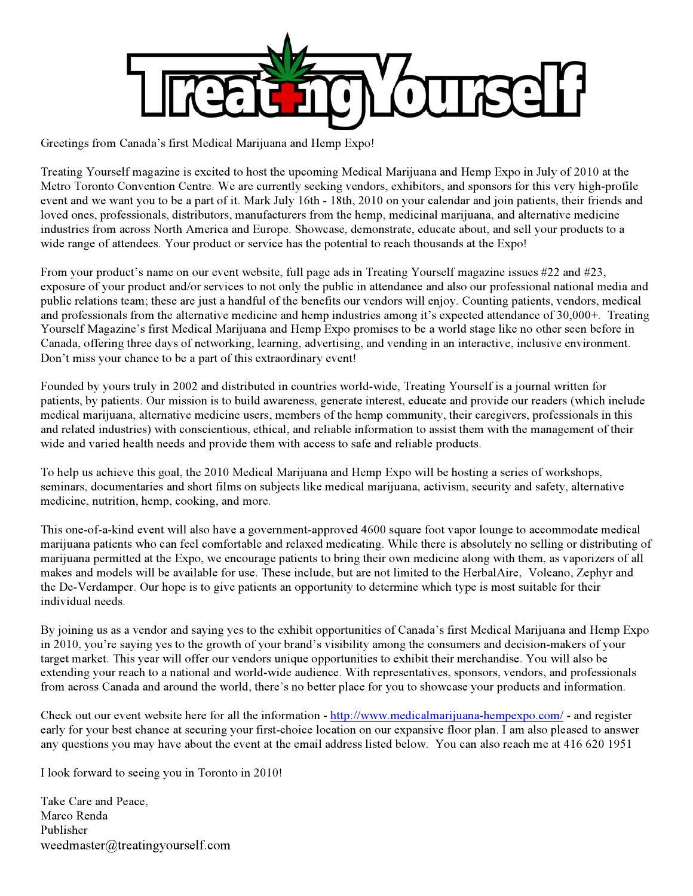

Greetings from Canada's first Medical Marijuana and Hemp Expo!

Treating Yourself magazine is excited to host the upcoming Medical Marijuana and Hemp Expo in July of 2010 at the Metro Toronto Convention Centre. We are currently seeking vendors, exhibitors, and sponsors for this very high-profile event and we want you to be a part of it. Mark July 16th - 18th, 2010 on your calendar and join patients, their friends and loved ones, professionals, distributors, manufacturers from the hemp, medicinal marijuana, and alternative medicine industries from across North America and Europe. Showcase, demonstrate, educate about, and sell your products to a wide range of attendees. Your product or service has the potential to reach thousands at the Expo!

From your product's name on our event website, full page ads in Treating Yourself magazine issues #22 and #23, exposure of your product and/or services to not only the public in attendance and also our professional national media and public relations team; these are just a handful of the benefits our vendors will enjoy. Counting patients, vendors, medical and professionals from the alternative medicine and hemp industries among it's expected attendance of 30,000+. Treating Yourself Magazine's first Medical Marijuana and Hemp Expo promises to be a world stage like no other seen before in Canada, offering three days of networking, learning, advertising, and vending in an interactive, inclusive environment. Don't miss your chance to be a part of this extraordinary event!

Founded by yours truly in 2002 and distributed in countries world-wide, Treating Yourself is a journal written for patients, by patients. Our mission is to build awareness, generate interest, educate and provide our readers (which include medical marijuana, alternative medicine users, members of the hemp community, their caregivers, professionals in this and related industries) with conscientious, ethical, and reliable information to assist them with the management of their wide and varied health needs and provide them with access to safe and reliable products.

To help us achieve this goal, the 2010 Medical Marijuana and Hemp Expo will be hosting a series of workshops, seminars, documentaries and short films on subjects like medical marijuana, activism, security and safety, alternative medicine, nutrition, hemp, cooking, and more.

This one-of-a-kind event will also have a government-approved 4600 square foot vapor lounge to accommodate medical marijuana patients who can feel comfortable and relaxed medicating. While there is absolutely no selling or distributing of marijuana permitted at the Expo, we encourage patients to bring their own medicine along with them, as vaporizers of all makes and models will be available for use. These include, but are not limited to the HerbalAire, Volcano, Zephyr and the De-Verdamper. Our hope is to give patients an opportunity to determine which type is most suitable for their individual needs.

By joining us as a vendor and saying yes to the exhibit opportunities of Canada's first Medical Marijuana and Hemp Expo in 2010, you're saying yes to the growth of your brand's visibility among the consumers and decision-makers of your target market. This year will offer our vendors unique opportunities to exhibit their merchandise. You will also be extending your reach to a national and world-wide audience. With representatives, sponsors, vendors, and professionals from across Canada and around the world, there's no better place for you to showcase your products and information.

Check out our event website here for all the information - http://www.medicalmarijuana-hempexpo.com/ - and register early for your best chance at securing your first-choice location on our expansive floor plan. I am also pleased to answer any questions you may have about the event at the email address listed below. You can also reach me at 416 620 1951

I look forward to seeing you in Toronto in 2010!

Take Care and Peace, Marco Renda Publisher weedmaster@treatingyourself.com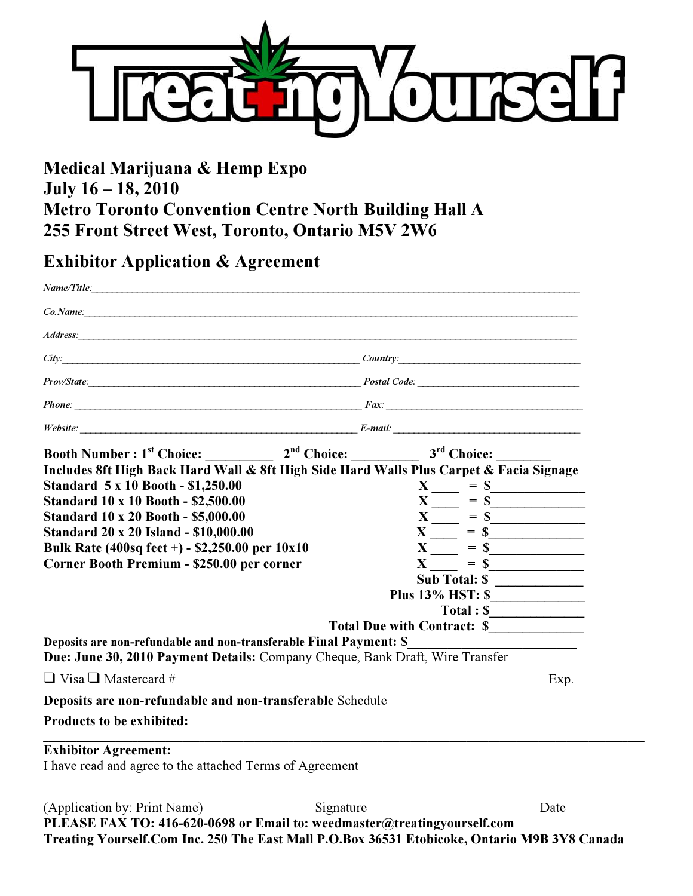

### **Medical Marijuana & Hemp Expo July 16 – 18, 2010 Metro Toronto Convention Centre North Building Hall A 255 Front Street West, Toronto, Ontario M5V 2W6**

### **Exhibitor Application & Agreement**

| $Co.\n    Name:$<br>$City:$ City:<br>Prov/State: Prov/State:<br>$Phone:$ $Fax:$<br>$\mathit{Website:}$ $\begin{tabular}{ c c c } \hline \textbf{I} & \textbf{E-mail:} \end{tabular}$<br>Booth Number : $1^{st}$ Choice: $2^{nd}$ Choice: $3^{rd}$ Choice:<br>Includes 8ft High Back Hard Wall & 8ft High Side Hard Walls Plus Carpet & Facia Signage<br>Standard 5 x 10 Booth - \$1,250.00<br><b>Standard 10 x 10 Booth - \$2,500.00</b><br>$X \_ = 5$<br><b>Standard 10 x 20 Booth - \$5,000.00</b><br><b>Standard 20 x 20 Island - \$10,000.00</b><br>Bulk Rate (400sq feet +) - \$2,250.00 per 10x10<br>Corner Booth Premium - \$250.00 per corner<br>$X = S$<br><b>Sub Total: \$</b><br>$Total:$ $\frac{S_{\text{max}}}{S_{\text{max}}+S_{\text{max}}+S_{\text{max}}+S_{\text{max}}+S_{\text{max}}+S_{\text{max}}+S_{\text{max}}+S_{\text{max}}+S_{\text{max}}+S_{\text{max}}+S_{\text{max}}+S_{\text{max}}+S_{\text{max}}+S_{\text{max}}+S_{\text{max}}+S_{\text{max}}+S_{\text{max}}+S_{\text{max}}+S_{\text{max}}+S_{\text{max}}+S_{\text{max}}+S_{\text{max}}+S_{\text{max}}+S_{\text{max}}+S_{\text{max}}+S_{\text$<br>Total Due with Contract: \$<br>Deposits are non-refundable and non-transferable Final Payment: \$<br>Due: June 30, 2010 Payment Details: Company Cheque, Bank Draft, Wire Transfer<br>Deposits are non-refundable and non-transferable Schedule<br><b>Products to be exhibited:</b><br><b>Exhibitor Agreement:</b><br>I have read and agree to the attached Terms of Agreement |                                                         |
|----------------------------------------------------------------------------------------------------------------------------------------------------------------------------------------------------------------------------------------------------------------------------------------------------------------------------------------------------------------------------------------------------------------------------------------------------------------------------------------------------------------------------------------------------------------------------------------------------------------------------------------------------------------------------------------------------------------------------------------------------------------------------------------------------------------------------------------------------------------------------------------------------------------------------------------------------------------------------------------------------------------------------------------------------------------------------------------------------------------------------------------------------------------------------------------------------------------------------------------------------------------------------------------------------------------------------------------------------------------------------------------------------------------------------------------------------------------------------------------------------------------|---------------------------------------------------------|
|                                                                                                                                                                                                                                                                                                                                                                                                                                                                                                                                                                                                                                                                                                                                                                                                                                                                                                                                                                                                                                                                                                                                                                                                                                                                                                                                                                                                                                                                                                                |                                                         |
|                                                                                                                                                                                                                                                                                                                                                                                                                                                                                                                                                                                                                                                                                                                                                                                                                                                                                                                                                                                                                                                                                                                                                                                                                                                                                                                                                                                                                                                                                                                |                                                         |
|                                                                                                                                                                                                                                                                                                                                                                                                                                                                                                                                                                                                                                                                                                                                                                                                                                                                                                                                                                                                                                                                                                                                                                                                                                                                                                                                                                                                                                                                                                                |                                                         |
|                                                                                                                                                                                                                                                                                                                                                                                                                                                                                                                                                                                                                                                                                                                                                                                                                                                                                                                                                                                                                                                                                                                                                                                                                                                                                                                                                                                                                                                                                                                |                                                         |
|                                                                                                                                                                                                                                                                                                                                                                                                                                                                                                                                                                                                                                                                                                                                                                                                                                                                                                                                                                                                                                                                                                                                                                                                                                                                                                                                                                                                                                                                                                                |                                                         |
|                                                                                                                                                                                                                                                                                                                                                                                                                                                                                                                                                                                                                                                                                                                                                                                                                                                                                                                                                                                                                                                                                                                                                                                                                                                                                                                                                                                                                                                                                                                |                                                         |
|                                                                                                                                                                                                                                                                                                                                                                                                                                                                                                                                                                                                                                                                                                                                                                                                                                                                                                                                                                                                                                                                                                                                                                                                                                                                                                                                                                                                                                                                                                                |                                                         |
|                                                                                                                                                                                                                                                                                                                                                                                                                                                                                                                                                                                                                                                                                                                                                                                                                                                                                                                                                                                                                                                                                                                                                                                                                                                                                                                                                                                                                                                                                                                |                                                         |
|                                                                                                                                                                                                                                                                                                                                                                                                                                                                                                                                                                                                                                                                                                                                                                                                                                                                                                                                                                                                                                                                                                                                                                                                                                                                                                                                                                                                                                                                                                                | $X \underline{\hspace{1cm}} = \underline{\hspace{1cm}}$ |
|                                                                                                                                                                                                                                                                                                                                                                                                                                                                                                                                                                                                                                                                                                                                                                                                                                                                                                                                                                                                                                                                                                                                                                                                                                                                                                                                                                                                                                                                                                                |                                                         |
|                                                                                                                                                                                                                                                                                                                                                                                                                                                                                                                                                                                                                                                                                                                                                                                                                                                                                                                                                                                                                                                                                                                                                                                                                                                                                                                                                                                                                                                                                                                | $X \underline{\hspace{1cm}} = \S$                       |
|                                                                                                                                                                                                                                                                                                                                                                                                                                                                                                                                                                                                                                                                                                                                                                                                                                                                                                                                                                                                                                                                                                                                                                                                                                                                                                                                                                                                                                                                                                                | $X = S$                                                 |
|                                                                                                                                                                                                                                                                                                                                                                                                                                                                                                                                                                                                                                                                                                                                                                                                                                                                                                                                                                                                                                                                                                                                                                                                                                                                                                                                                                                                                                                                                                                | $X = S$                                                 |
|                                                                                                                                                                                                                                                                                                                                                                                                                                                                                                                                                                                                                                                                                                                                                                                                                                                                                                                                                                                                                                                                                                                                                                                                                                                                                                                                                                                                                                                                                                                |                                                         |
|                                                                                                                                                                                                                                                                                                                                                                                                                                                                                                                                                                                                                                                                                                                                                                                                                                                                                                                                                                                                                                                                                                                                                                                                                                                                                                                                                                                                                                                                                                                |                                                         |
|                                                                                                                                                                                                                                                                                                                                                                                                                                                                                                                                                                                                                                                                                                                                                                                                                                                                                                                                                                                                                                                                                                                                                                                                                                                                                                                                                                                                                                                                                                                |                                                         |
|                                                                                                                                                                                                                                                                                                                                                                                                                                                                                                                                                                                                                                                                                                                                                                                                                                                                                                                                                                                                                                                                                                                                                                                                                                                                                                                                                                                                                                                                                                                |                                                         |
|                                                                                                                                                                                                                                                                                                                                                                                                                                                                                                                                                                                                                                                                                                                                                                                                                                                                                                                                                                                                                                                                                                                                                                                                                                                                                                                                                                                                                                                                                                                |                                                         |
|                                                                                                                                                                                                                                                                                                                                                                                                                                                                                                                                                                                                                                                                                                                                                                                                                                                                                                                                                                                                                                                                                                                                                                                                                                                                                                                                                                                                                                                                                                                |                                                         |
|                                                                                                                                                                                                                                                                                                                                                                                                                                                                                                                                                                                                                                                                                                                                                                                                                                                                                                                                                                                                                                                                                                                                                                                                                                                                                                                                                                                                                                                                                                                |                                                         |
|                                                                                                                                                                                                                                                                                                                                                                                                                                                                                                                                                                                                                                                                                                                                                                                                                                                                                                                                                                                                                                                                                                                                                                                                                                                                                                                                                                                                                                                                                                                | Exp.                                                    |
|                                                                                                                                                                                                                                                                                                                                                                                                                                                                                                                                                                                                                                                                                                                                                                                                                                                                                                                                                                                                                                                                                                                                                                                                                                                                                                                                                                                                                                                                                                                |                                                         |
|                                                                                                                                                                                                                                                                                                                                                                                                                                                                                                                                                                                                                                                                                                                                                                                                                                                                                                                                                                                                                                                                                                                                                                                                                                                                                                                                                                                                                                                                                                                |                                                         |
|                                                                                                                                                                                                                                                                                                                                                                                                                                                                                                                                                                                                                                                                                                                                                                                                                                                                                                                                                                                                                                                                                                                                                                                                                                                                                                                                                                                                                                                                                                                |                                                         |
|                                                                                                                                                                                                                                                                                                                                                                                                                                                                                                                                                                                                                                                                                                                                                                                                                                                                                                                                                                                                                                                                                                                                                                                                                                                                                                                                                                                                                                                                                                                |                                                         |
| (Application by: Print Name)<br>Signature                                                                                                                                                                                                                                                                                                                                                                                                                                                                                                                                                                                                                                                                                                                                                                                                                                                                                                                                                                                                                                                                                                                                                                                                                                                                                                                                                                                                                                                                      | Date                                                    |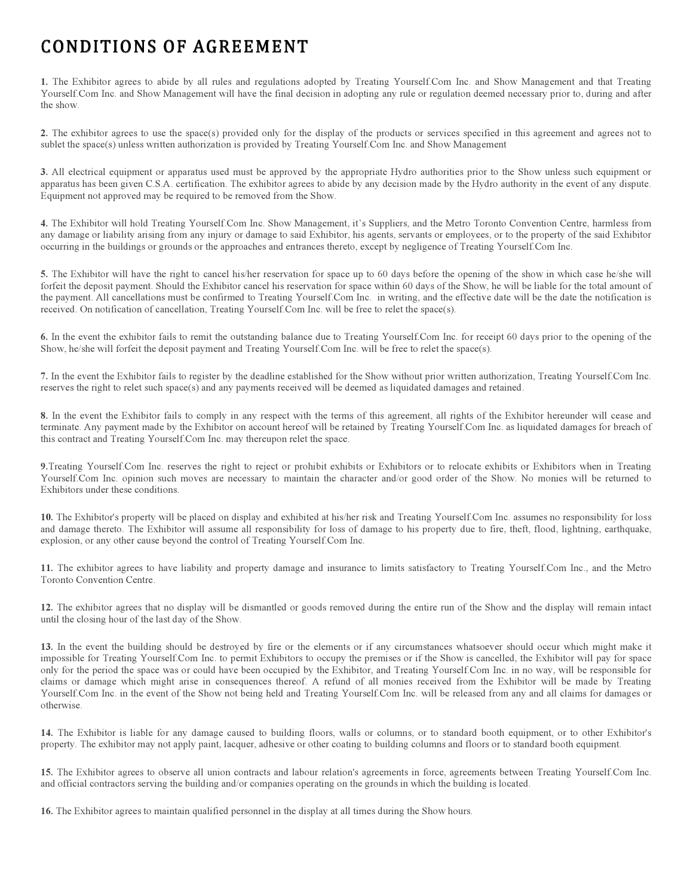## CONDITIONS OF AGREEMENT

**1.** The Exhibitor agrees to abide by all rules and regulations adopted by Treating Yourself.Com Inc. and Show Management and that Treating Yourself.Com Inc. and Show Management will have the final decision in adopting any rule or regulation deemed necessary prior to, during and after the show.

**2.** The exhibitor agrees to use the space(s) provided only for the display of the products or services specified in this agreement and agrees not to sublet the space(s) unless written authorization is provided by Treating Yourself.Com Inc. and Show Management

**3.** All electrical equipment or apparatus used must be approved by the appropriate Hydro authorities prior to the Show unless such equipment or apparatus has been given C.S.A. certification. The exhibitor agrees to abide by any decision made by the Hydro authority in the event of any dispute. Equipment not approved may be required to be removed from the Show.

**4.** The Exhibitor will hold Treating Yourself.Com Inc. Show Management, it's Suppliers, and the Metro Toronto Convention Centre, harmless from any damage or liability arising from any injury or damage to said Exhibitor, his agents, servants or employees, or to the property of the said Exhibitor occurring in the buildings or grounds or the approaches and entrances thereto, except by negligence of Treating Yourself.Com Inc.

**5.** The Exhibitor will have the right to cancel his/her reservation for space up to 60 days before the opening of the show in which case he/she will forfeit the deposit payment. Should the Exhibitor cancel his reservation for space within 60 days of the Show, he will be liable for the total amount of the payment. All cancellations must be confirmed to Treating Yourself.Com Inc. in writing, and the effective date will be the date the notification is received. On notification of cancellation, Treating Yourself.Com Inc. will be free to relet the space(s).

**6.** In the event the exhibitor fails to remit the outstanding balance due to Treating Yourself.Com Inc. for receipt 60 days prior to the opening of the Show, he/she will forfeit the deposit payment and Treating Yourself.Com Inc. will be free to relet the space(s).

**7.** In the event the Exhibitor fails to register by the deadline established for the Show without prior written authorization, Treating Yourself.Com Inc. reserves the right to relet such space(s) and any payments received will be deemed as liquidated damages and retained.

**8.** In the event the Exhibitor fails to comply in any respect with the terms of this agreement, all rights of the Exhibitor hereunder will cease and terminate. Any payment made by the Exhibitor on account hereof will be retained by Treating Yourself.Com Inc. as liquidated damages for breach of this contract and Treating Yourself.Com Inc. may thereupon relet the space.

**9.**Treating Yourself.Com Inc. reserves the right to reject or prohibit exhibits or Exhibitors or to relocate exhibits or Exhibitors when in Treating Yourself.Com Inc. opinion such moves are necessary to maintain the character and/or good order of the Show. No monies will be returned to Exhibitors under these conditions.

**10.** The Exhibitor's property will be placed on display and exhibited at his/her risk and Treating Yourself.Com Inc. assumes no responsibility for loss and damage thereto. The Exhibitor will assume all responsibility for loss of damage to his property due to fire, theft, flood, lightning, earthquake, explosion, or any other cause beyond the control of Treating Yourself.Com Inc.

**11.** The exhibitor agrees to have liability and property damage and insurance to limits satisfactory to Treating Yourself.Com Inc., and the Metro Toronto Convention Centre.

**12.** The exhibitor agrees that no display will be dismantled or goods removed during the entire run of the Show and the display will remain intact until the closing hour of the last day of the Show.

**13.** In the event the building should be destroyed by fire or the elements or if any circumstances whatsoever should occur which might make it impossible for Treating Yourself.Com Inc. to permit Exhibitors to occupy the premises or if the Show is cancelled, the Exhibitor will pay for space only for the period the space was or could have been occupied by the Exhibitor, and Treating Yourself.Com Inc. in no way, will be responsible for claims or damage which might arise in consequences thereof. A refund of all monies received from the Exhibitor will be made by Treating Yourself.Com Inc. in the event of the Show not being held and Treating Yourself.Com Inc. will be released from any and all claims for damages or otherwise.

**14.** The Exhibitor is liable for any damage caused to building floors, walls or columns, or to standard booth equipment, or to other Exhibitor's property. The exhibitor may not apply paint, lacquer, adhesive or other coating to building columns and floors or to standard booth equipment.

**15.** The Exhibitor agrees to observe all union contracts and labour relation's agreements in force, agreements between Treating Yourself.Com Inc. and official contractors serving the building and/or companies operating on the grounds in which the building is located.

**16.** The Exhibitor agrees to maintain qualified personnel in the display at all times during the Show hours.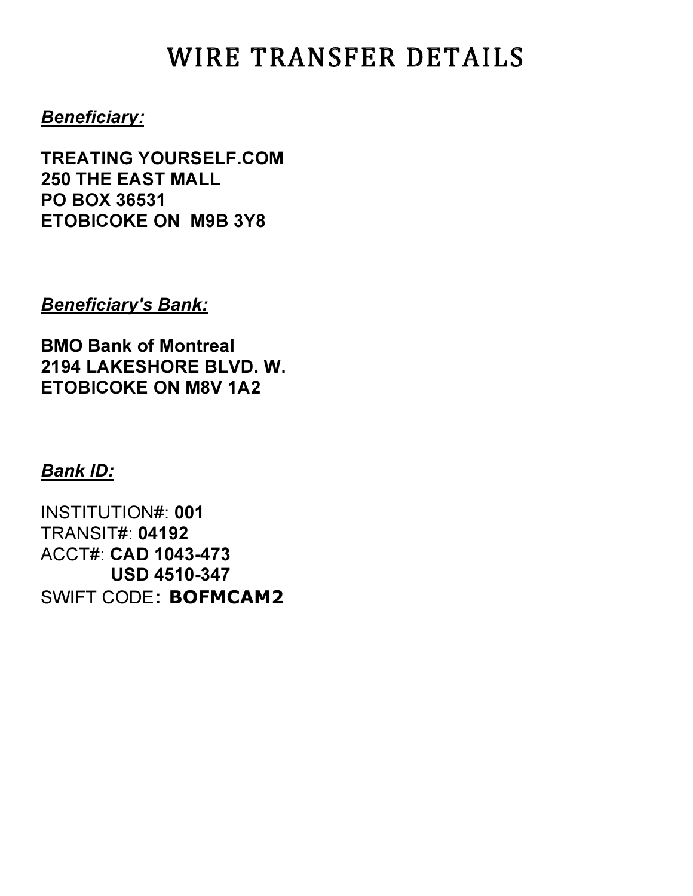# WIRE TRANSFER DETAILS

### *Beneficiary:*

**TREATING YOURSELF.COM 250 THE EAST MALL PO BOX 36531 ETOBICOKE ON M9B 3Y8**

#### *Beneficiary's Bank:*

**BMO Bank of Montreal 2194 LAKESHORE BLVD. W. ETOBICOKE ON M8V 1A2**

### *Bank ID:*

INSTITUTION#: **001** TRANSIT#: **04192** ACCT#: **CAD 1043-473 USD 4510-347** SWIFT CODE: **BOFMCAM2**